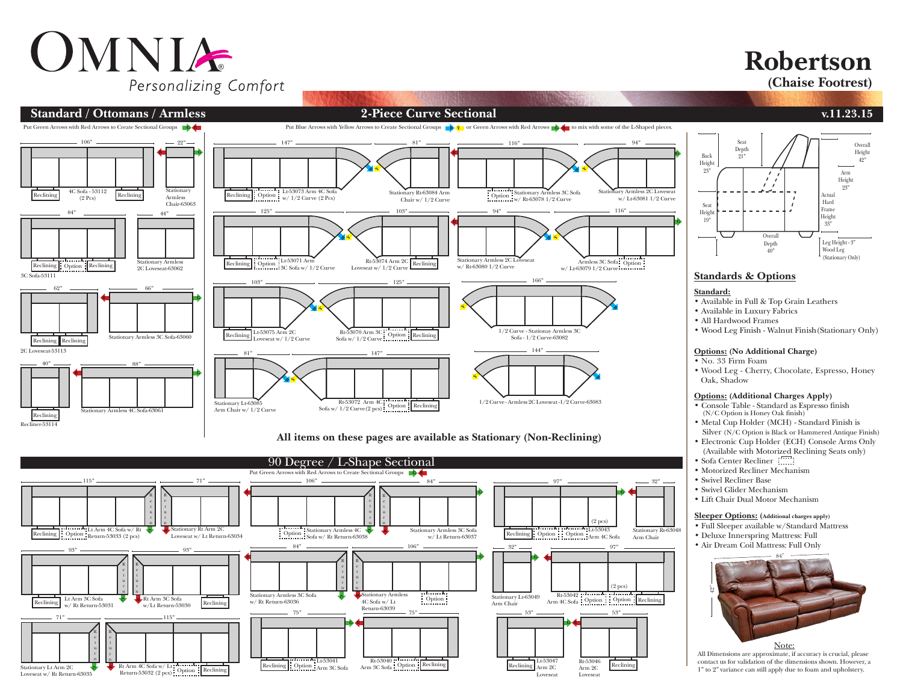# OMNIA Personalizing Comfort

### **Robertson**

**(Chaise Footrest)**



**All items on these pages are available as Stationary (Non-Reclining)**





### **Standards & Options**

#### **Standard:**

- Available in Full & Top Grain Leathers
- Available in Luxury Fabrics
- All Hardwood Frames
- Wood Leg Finish Walnut Finish(Stationary Only)

#### **Options: (No Additional Charge)**

- No. 33 Firm Foam
- Wood Leg Cherry, Chocolate, Espresso, Honey Oak, Shadow

#### **Options: (Additional Charges Apply)**

- Console Table Standard as Espresso finish (N/C Option is Honey Oak finish)
- Metal Cup Holder (MCH) Standard Finish is Silver (N/C Option is Black or Hammered Antique Finish)
- Electronic Cup Holder (ECH) Console Arms Only
- (Available with Motorized Reclining Seats only)
- Sofa Center Recliner
- Motorized Recliner Mechanism
- Swivel Recliner Base
- Swivel Glider Mechanism
- Lift Chair Dual Motor Mechanism

#### **Sleeper Options: (Additional charges apply)**

- Full Sleeper available w/Standard Mattress
- Deluxe Innerspring Mattress: Full
- Air Dream Coil Mattress: Full Only



All Dimensions are approximate, if accuracy is crucial, please contact us for validation of the dimensions shown. However, a 1" to 2" variance can still apply due to foam and upholstery.